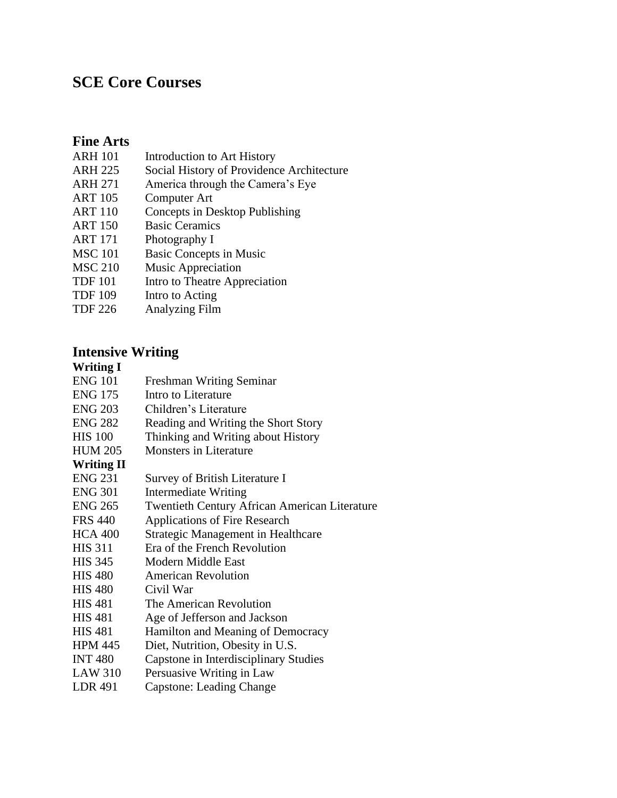# **SCE Core Courses**

### **Fine Arts**

- ARH 101 Introduction to Art History
- ARH 225 Social History of Providence Architecture
- ARH 271 America through the Camera's Eye
- ART 105 Computer Art
- ART 110 Concepts in Desktop Publishing
- ART 150 Basic Ceramics
- ART 171 Photography I
- MSC 101 Basic Concepts in Music
- MSC 210 Music Appreciation
- TDF 101 Intro to Theatre Appreciation
- TDF 109 Intro to Acting
- TDF 226 Analyzing Film

## **Intensive Writing**

#### **Writing I**

| <b>ENG 101</b>    | Freshman Writing Seminar                             |
|-------------------|------------------------------------------------------|
| <b>ENG 175</b>    | Intro to Literature                                  |
| <b>ENG 203</b>    | Children's Literature                                |
| <b>ENG 282</b>    | Reading and Writing the Short Story                  |
| <b>HIS 100</b>    | Thinking and Writing about History                   |
| <b>HUM 205</b>    | <b>Monsters in Literature</b>                        |
| <b>Writing II</b> |                                                      |
| <b>ENG 231</b>    | Survey of British Literature I                       |
| <b>ENG 301</b>    | Intermediate Writing                                 |
| <b>ENG 265</b>    | <b>Twentieth Century African American Literature</b> |
| <b>FRS 440</b>    | <b>Applications of Fire Research</b>                 |
| <b>HCA 400</b>    | <b>Strategic Management in Healthcare</b>            |
| <b>HIS 311</b>    | Era of the French Revolution                         |
| <b>HIS 345</b>    | Modern Middle East                                   |
| <b>HIS 480</b>    | <b>American Revolution</b>                           |
| <b>HIS 480</b>    | Civil War                                            |
| <b>HIS 481</b>    | The American Revolution                              |
| <b>HIS 481</b>    | Age of Jefferson and Jackson                         |
| <b>HIS 481</b>    | Hamilton and Meaning of Democracy                    |
| <b>HPM 445</b>    | Diet, Nutrition, Obesity in U.S.                     |
| <b>INT 480</b>    | Capstone in Interdisciplinary Studies                |
| <b>LAW 310</b>    | Persuasive Writing in Law                            |
| <b>LDR 491</b>    | <b>Capstone: Leading Change</b>                      |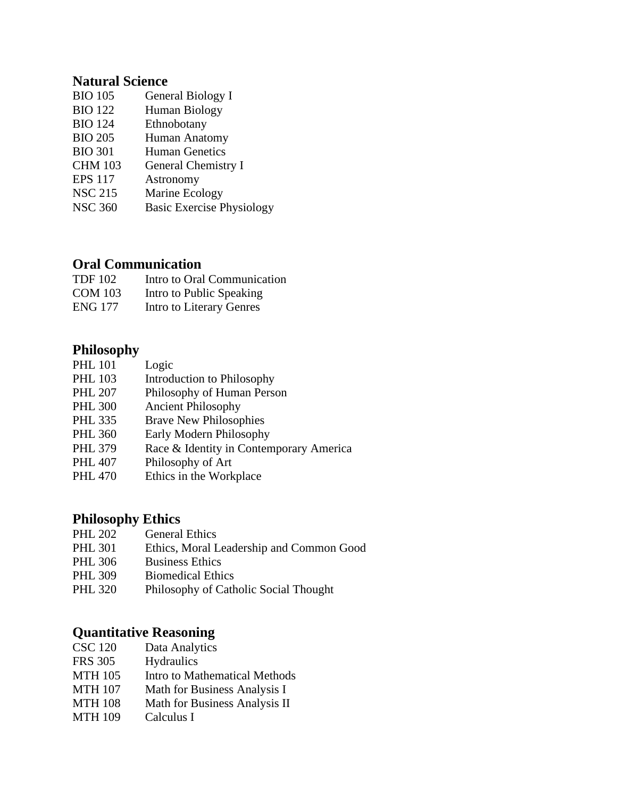## **Natural Science**

| <b>BIO 105</b> | General Biology I                |
|----------------|----------------------------------|
| <b>BIO 122</b> | <b>Human Biology</b>             |
| <b>BIO 124</b> | Ethnobotany                      |
| <b>BIO 205</b> | Human Anatomy                    |
| <b>BIO 301</b> | <b>Human Genetics</b>            |
| <b>CHM 103</b> | <b>General Chemistry I</b>       |
| <b>EPS 117</b> | Astronomy                        |
| <b>NSC 215</b> | Marine Ecology                   |
| <b>NSC 360</b> | <b>Basic Exercise Physiology</b> |
|                |                                  |

## **Oral Communication**

| <b>TDF 102</b> | Intro to Oral Communication |
|----------------|-----------------------------|
| <b>COM 103</b> | Intro to Public Speaking    |
| ENG 177        | Intro to Literary Genres    |

#### **Philosophy**

| <b>PHL 101</b> | Logic                                   |
|----------------|-----------------------------------------|
| <b>PHL 103</b> | Introduction to Philosophy              |
| <b>PHL 207</b> | Philosophy of Human Person              |
| <b>PHL 300</b> | <b>Ancient Philosophy</b>               |
| <b>PHL 335</b> | <b>Brave New Philosophies</b>           |
| <b>PHL 360</b> | Early Modern Philosophy                 |
| <b>PHL 379</b> | Race & Identity in Contemporary America |
| <b>PHL 407</b> | Philosophy of Art                       |
|                |                                         |

PHL 470 Ethics in the Workplace

#### **Philosophy Ethics**

- PHL 202 General Ethics<br>PHL 301 Ethics, Moral L
- Ethics, Moral Leadership and Common Good
- PHL 306 Business Ethics
- PHL 309 Biomedical Ethics
- PHL 320 Philosophy of Catholic Social Thought

## **Quantitative Reasoning**

| <b>CSC 120</b> | Data Analytics |
|----------------|----------------|
|----------------|----------------|

- FRS 305 Hydraulics
- MTH 105 Intro to Mathematical Methods
- MTH 107 Math for Business Analysis I
- MTH 108 Math for Business Analysis II
- MTH 109 Calculus I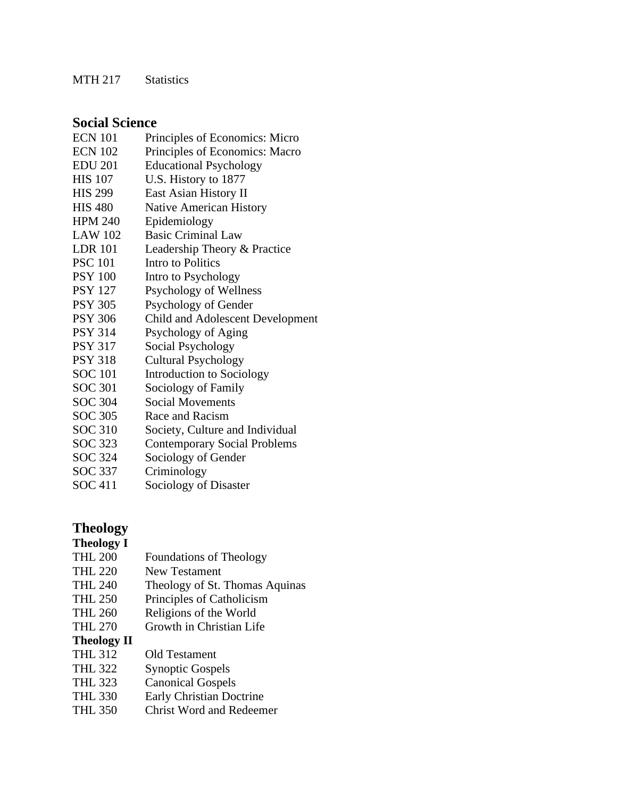MTH 217 Statistics

### **Social Science**

| <b>ECN 101</b> | Principles of Economics: Micro      |
|----------------|-------------------------------------|
| <b>ECN 102</b> | Principles of Economics: Macro      |
| <b>EDU 201</b> | <b>Educational Psychology</b>       |
| <b>HIS 107</b> | U.S. History to 1877                |
| <b>HIS 299</b> | East Asian History II               |
| <b>HIS 480</b> | <b>Native American History</b>      |
| <b>HPM 240</b> | Epidemiology                        |
| <b>LAW 102</b> | <b>Basic Criminal Law</b>           |
| <b>LDR</b> 101 | Leadership Theory & Practice        |
| <b>PSC 101</b> | Intro to Politics                   |
| <b>PSY 100</b> | Intro to Psychology                 |
| <b>PSY 127</b> | Psychology of Wellness              |
| <b>PSY 305</b> | Psychology of Gender                |
| <b>PSY 306</b> | Child and Adolescent Development    |
| <b>PSY 314</b> | Psychology of Aging                 |
| <b>PSY 317</b> | Social Psychology                   |
| <b>PSY 318</b> | <b>Cultural Psychology</b>          |
| <b>SOC 101</b> | <b>Introduction to Sociology</b>    |
| <b>SOC 301</b> | Sociology of Family                 |
| SOC 304        | <b>Social Movements</b>             |
| SOC 305        | Race and Racism                     |
| <b>SOC 310</b> | Society, Culture and Individual     |
| SOC 323        | <b>Contemporary Social Problems</b> |
| SOC 324        | Sociology of Gender                 |
| SOC 337        | Criminology                         |
| <b>SOC 411</b> | Sociology of Disaster               |

## **Theology**

#### **Theology I**

- THL 200 Foundations of Theology
- THL 220 New Testament
- THL 240 Theology of St. Thomas Aquinas
- THL 250 Principles of Catholicism
- THL 260 Religions of the World
- THL 270 Growth in Christian Life

#### **Theology II**

- THL 312 Old Testament
- THL 322 Synoptic Gospels
- THL 323 Canonical Gospels
- THL 330 Early Christian Doctrine
- THL 350 Christ Word and Redeemer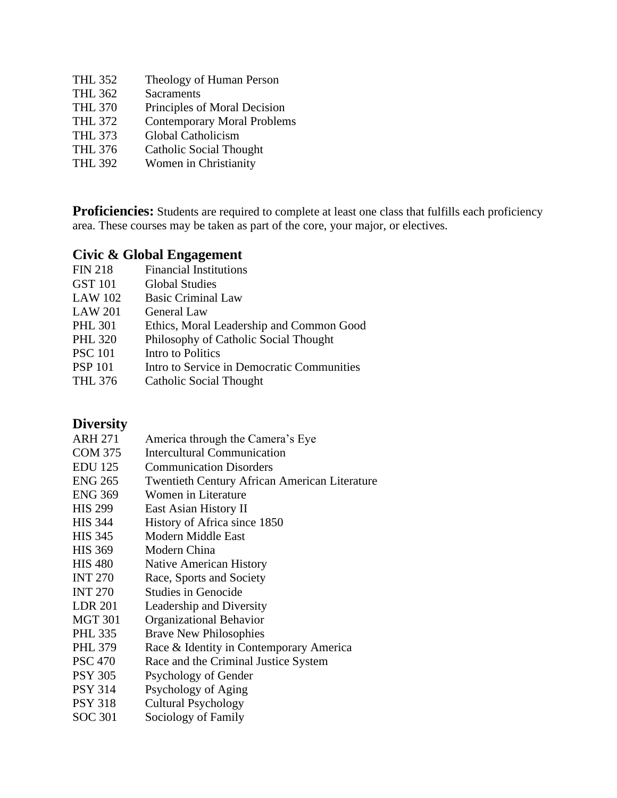| <b>THL 352</b> | Theology of Human Person           |
|----------------|------------------------------------|
| <b>THL 362</b> | <b>Sacraments</b>                  |
| <b>THL 370</b> | Principles of Moral Decision       |
| <b>THL 372</b> | <b>Contemporary Moral Problems</b> |
| <b>THL 373</b> | Global Catholicism                 |
| <b>THL 376</b> | <b>Catholic Social Thought</b>     |
| <b>THL 392</b> | Women in Christianity              |

**Proficiencies:** Students are required to complete at least one class that fulfills each proficiency area. These courses may be taken as part of the core, your major, or electives.

## **Civic & Global Engagement**

| <b>Financial Institutions</b>              |
|--------------------------------------------|
| <b>Global Studies</b>                      |
| <b>Basic Criminal Law</b>                  |
| <b>General Law</b>                         |
| Ethics, Moral Leadership and Common Good   |
| Philosophy of Catholic Social Thought      |
| Intro to Politics                          |
| Intro to Service in Democratic Communities |
| Catholic Social Thought                    |
|                                            |

## **Diversity**

| DIVUJIV        |                                                      |
|----------------|------------------------------------------------------|
| <b>ARH 271</b> | America through the Camera's Eye                     |
| <b>COM 375</b> | <b>Intercultural Communication</b>                   |
| <b>EDU</b> 125 | <b>Communication Disorders</b>                       |
| <b>ENG 265</b> | <b>Twentieth Century African American Literature</b> |
| <b>ENG 369</b> | Women in Literature                                  |
| <b>HIS 299</b> | East Asian History II                                |
| HIS 344        | History of Africa since 1850                         |
| <b>HIS 345</b> | Modern Middle East                                   |
| <b>HIS 369</b> | Modern China                                         |
| HIS 480        | <b>Native American History</b>                       |
| INT 270        | Race, Sports and Society                             |
| <b>INT 270</b> | <b>Studies in Genocide</b>                           |
| LDR 201        | Leadership and Diversity                             |
| <b>MGT 301</b> | Organizational Behavior                              |
| PHL 335        | <b>Brave New Philosophies</b>                        |
| PHL 379        | Race & Identity in Contemporary America              |
| PSC 470        | Race and the Criminal Justice System                 |
| PSY 305        | Psychology of Gender                                 |
| PSY 314        | Psychology of Aging                                  |
| PSY 318        | <b>Cultural Psychology</b>                           |
| SOC 301        | Sociology of Family                                  |
|                |                                                      |